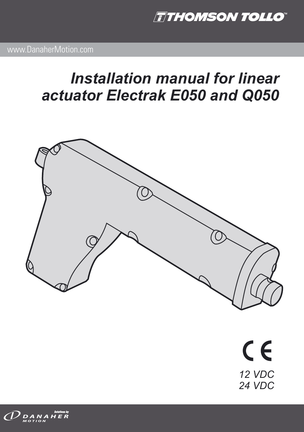**TTHOMSON TOLLO** 

# *Installation manual for linear actuator Electrak E050 and Q050*



 $C \in$ *12 VDC 24 VDC*

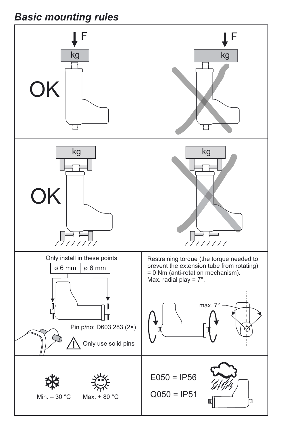## *Basic mounting rules*

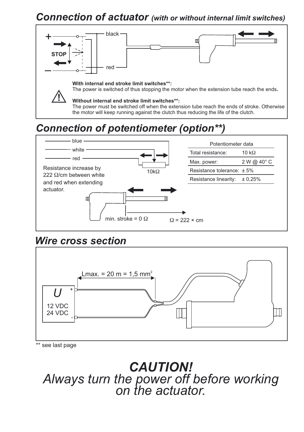### *Connection of actuator (with or without internal limit switches)*



# *Connection of potentiometer (option\*\*)*



### *Wire cross section*



\*\* see last page

*CAUTION! Always turn the power off before working on the actuator.*